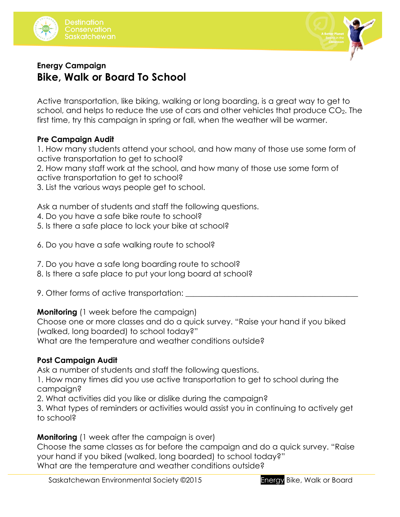



# **Energy Campaign Bike, Walk or Board To School**

Active transportation, like biking, walking or long boarding, is a great way to get to school, and helps to reduce the use of cars and other vehicles that produce  $CO<sub>2</sub>$ . The first time, try this campaign in spring or fall, when the weather will be warmer.

## **Pre Campaign Audit**

1. How many students attend your school, and how many of those use some form of active transportation to get to school?

2. How many staff work at the school, and how many of those use some form of active transportation to get to school?

3. List the various ways people get to school.

Ask a number of students and staff the following questions.

- 4. Do you have a safe bike route to school?
- 5. Is there a safe place to lock your bike at school?
- 6. Do you have a safe walking route to school?
- 7. Do you have a safe long boarding route to school?
- 8. Is there a safe place to put your long board at school?
- 9. Other forms of active transportation:  $\Box$

**Monitoring** (1 week before the campaign)

Choose one or more classes and do a quick survey. "Raise your hand if you biked (walked, long boarded) to school today?"

What are the temperature and weather conditions outside?

### **Post Campaign Audit**

Ask a number of students and staff the following questions.

1. How many times did you use active transportation to get to school during the campaign?

2. What activities did you like or dislike during the campaign?

3. What types of reminders or activities would assist you in continuing to actively get to school?

**Monitoring** (1 week after the campaign is over)

Choose the same classes as for before the campaign and do a quick survey. "Raise your hand if you biked (walked, long boarded) to school today?" What are the temperature and weather conditions outside?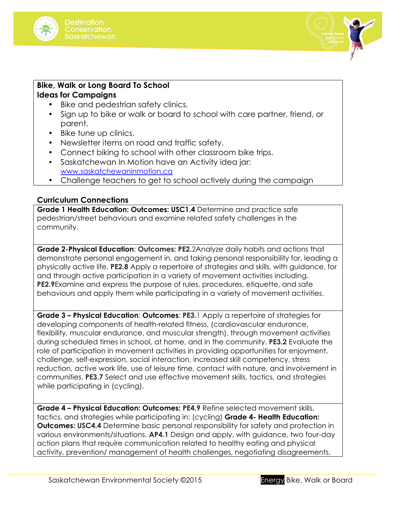



#### **Bike, Walk or Long Board To School Ideas for Campaigns**

- Bike and pedestrian safety clinics.
- Sign up to bike or walk or board to school with care partner, friend, or parent.
- Bike tune up clinics.
- Newsletter items on road and traffic safety.
- Connect biking to school with other classroom bike trips.
- Saskatchewan In Motion have an Activity idea jar: www.saskatchewaninmotion.ca
- Challenge teachers to get to school actively during the campaign

## **Curriculum Connections**

**Grade 1 Health Education: Outcomes: USC1.4** Determine and practice safe pedestrian/street behaviours and examine related safety challenges in the community.

**Grade 2-Physical Education**: **Outcomes: PE2.**2Analyze daily habits and actions that demonstrate personal engagement in, and taking personal responsibility for, leading a physically active life. **PE2.8** Apply a repertoire of strategies and skills, with guidance, for and through active participation in a variety of movement activities including. **PE2.9**Examine and express the purpose of rules, procedures, etiquette, and safe behaviours and apply them while participating in a variety of movement activities.

**Grade 3 – Physical Education**: **Outcomes**: **PE3.**1 Apply a repertoire of strategies for developing components of health-related fitness, (cardiovascular endurance, flexibility, muscular endurance, and muscular strength), through movement activities during scheduled times in school, at home, and in the community. **PE3.2** Evaluate the role of participation in movement activities in providing opportunities for enjoyment, challenge, self-expression, social interaction, increased skill competency, stress reduction, active work life, use of leisure time, contact with nature, and involvement in communities. **PE3.7** Select and use effective movement skills, tactics, and strategies while participating in (cycling).

**Grade 4 – Physical Education: Outcomes: PE4.9** Refine selected movement skills, tactics, and strategies while participating in: (cycling) **Grade 4- Health Education: Outcomes: USC4.4** Determine basic personal responsibility for safety and protection in various environments/situations. **AP4.1** Design and apply, with guidance, two four-day action plans that require communication related to healthy eating and physical activity, prevention/ management of health challenges, negotiating disagreements,